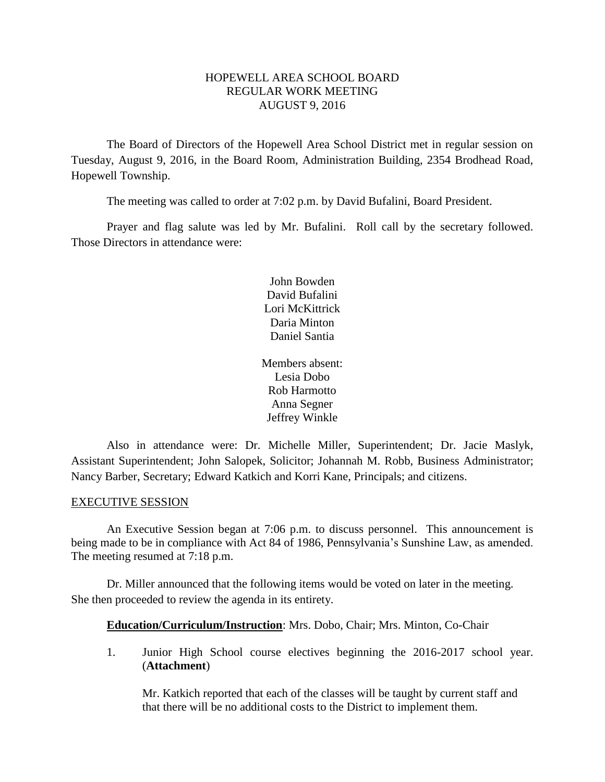## HOPEWELL AREA SCHOOL BOARD REGULAR WORK MEETING AUGUST 9, 2016

The Board of Directors of the Hopewell Area School District met in regular session on Tuesday, August 9, 2016, in the Board Room, Administration Building, 2354 Brodhead Road, Hopewell Township.

The meeting was called to order at 7:02 p.m. by David Bufalini, Board President.

Prayer and flag salute was led by Mr. Bufalini. Roll call by the secretary followed. Those Directors in attendance were:

> John Bowden David Bufalini Lori McKittrick Daria Minton Daniel Santia

Members absent: Lesia Dobo Rob Harmotto Anna Segner Jeffrey Winkle

Also in attendance were: Dr. Michelle Miller, Superintendent; Dr. Jacie Maslyk, Assistant Superintendent; John Salopek, Solicitor; Johannah M. Robb, Business Administrator; Nancy Barber, Secretary; Edward Katkich and Korri Kane, Principals; and citizens.

## EXECUTIVE SESSION

An Executive Session began at 7:06 p.m. to discuss personnel. This announcement is being made to be in compliance with Act 84 of 1986, Pennsylvania's Sunshine Law, as amended. The meeting resumed at 7:18 p.m.

Dr. Miller announced that the following items would be voted on later in the meeting. She then proceeded to review the agenda in its entirety.

**Education/Curriculum/Instruction**: Mrs. Dobo, Chair; Mrs. Minton, Co-Chair

1. Junior High School course electives beginning the 2016-2017 school year. (**Attachment**)

Mr. Katkich reported that each of the classes will be taught by current staff and that there will be no additional costs to the District to implement them.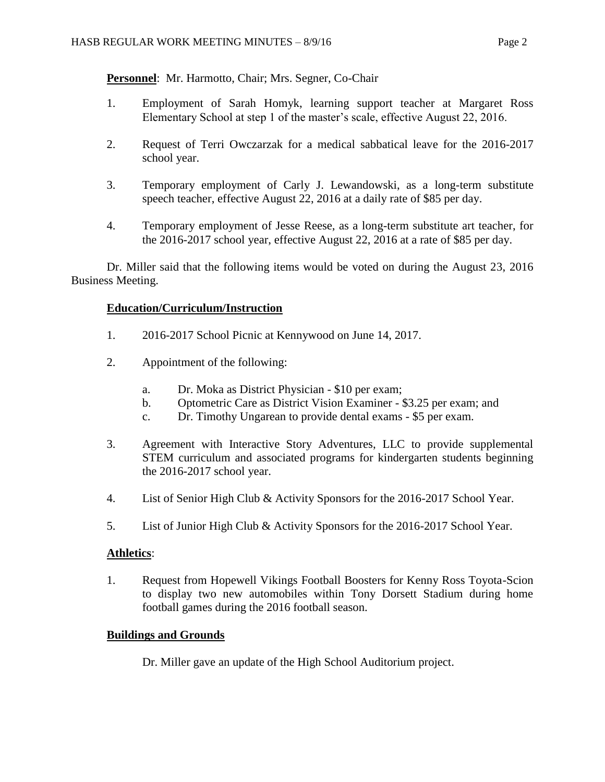**Personnel**: Mr. Harmotto, Chair; Mrs. Segner, Co-Chair

- 1. Employment of Sarah Homyk, learning support teacher at Margaret Ross Elementary School at step 1 of the master's scale, effective August 22, 2016.
- 2. Request of Terri Owczarzak for a medical sabbatical leave for the 2016-2017 school year.
- 3. Temporary employment of Carly J. Lewandowski, as a long-term substitute speech teacher, effective August 22, 2016 at a daily rate of \$85 per day.
- 4. Temporary employment of Jesse Reese, as a long-term substitute art teacher, for the 2016-2017 school year, effective August 22, 2016 at a rate of \$85 per day.

Dr. Miller said that the following items would be voted on during the August 23, 2016 Business Meeting.

## **Education/Curriculum/Instruction**

- 1. 2016-2017 School Picnic at Kennywood on June 14, 2017.
- 2. Appointment of the following:
	- a. Dr. Moka as District Physician \$10 per exam;
	- b. Optometric Care as District Vision Examiner \$3.25 per exam; and
	- c. Dr. Timothy Ungarean to provide dental exams \$5 per exam.
- 3. Agreement with Interactive Story Adventures, LLC to provide supplemental STEM curriculum and associated programs for kindergarten students beginning the 2016-2017 school year.
- 4. List of Senior High Club & Activity Sponsors for the 2016-2017 School Year.
- 5. List of Junior High Club & Activity Sponsors for the 2016-2017 School Year.

## **Athletics**:

1. Request from Hopewell Vikings Football Boosters for Kenny Ross Toyota-Scion to display two new automobiles within Tony Dorsett Stadium during home football games during the 2016 football season.

## **Buildings and Grounds**

Dr. Miller gave an update of the High School Auditorium project.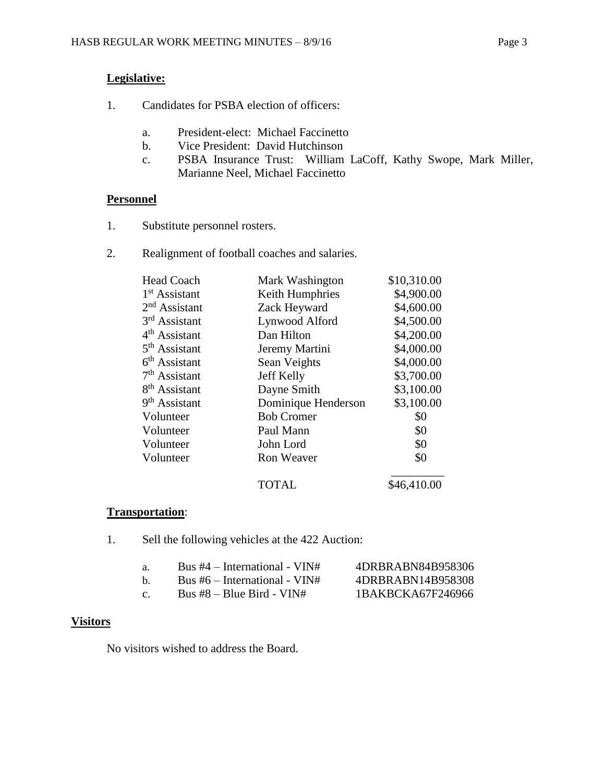# **Legislative:**

- 1. Candidates for PSBA election of officers:
	- a. President-elect: Michael Faccinetto
	- b. Vice President: David Hutchinson
	- c. PSBA Insurance Trust: William LaCoff, Kathy Swope, Mark Miller, Marianne Neel, Michael Faccinetto

# **Personnel**

- 1. Substitute personnel rosters.
- 2. Realignment of football coaches and salaries.

| <b>Head Coach</b>         | Mark Washington     | \$10,310.00 |
|---------------------------|---------------------|-------------|
| $1st$ Assistant           | Keith Humphries     | \$4,900.00  |
| $2nd$ Assistant           | Zack Heyward        | \$4,600.00  |
| $3rd$ Assistant           | Lynwood Alford      | \$4,500.00  |
| 4 <sup>th</sup> Assistant | Dan Hilton          | \$4,200.00  |
| 5 <sup>th</sup> Assistant | Jeremy Martini      | \$4,000.00  |
| $6th$ Assistant           | Sean Veights        | \$4,000.00  |
| 7 <sup>th</sup> Assistant | Jeff Kelly          | \$3,700.00  |
| 8 <sup>th</sup> Assistant | Dayne Smith         | \$3,100.00  |
| 9 <sup>th</sup> Assistant | Dominique Henderson | \$3,100.00  |
| Volunteer                 | <b>Bob Cromer</b>   | \$0         |
| Volunteer                 | Paul Mann           | \$0         |
| Volunteer                 | John Lord           | \$0         |
| Volunteer                 | <b>Ron Weaver</b>   | \$0         |
|                           |                     |             |

TOTAL \$46,410.00

## **Transportation**:

1. Sell the following vehicles at the 422 Auction:

| -а. | Bus $#4$ – International - VIN# | 4DRBRABN84B958306 |
|-----|---------------------------------|-------------------|
| h.  | Bus $#6$ – International - VIN# | 4DRBRABN14B958308 |
| C.  | Bus $#8$ – Blue Bird - VIN#     | 1BAKBCKA67F246966 |

# **Visitors**

No visitors wished to address the Board.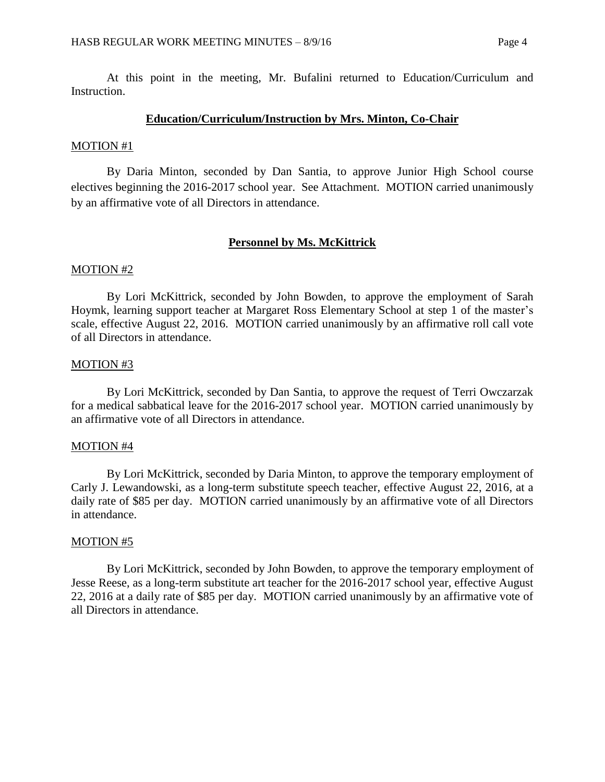At this point in the meeting, Mr. Bufalini returned to Education/Curriculum and Instruction.

### **Education/Curriculum/Instruction by Mrs. Minton, Co-Chair**

#### MOTION #1

By Daria Minton, seconded by Dan Santia, to approve Junior High School course electives beginning the 2016-2017 school year. See Attachment. MOTION carried unanimously by an affirmative vote of all Directors in attendance.

#### **Personnel by Ms. McKittrick**

## MOTION #2

By Lori McKittrick, seconded by John Bowden, to approve the employment of Sarah Hoymk, learning support teacher at Margaret Ross Elementary School at step 1 of the master's scale, effective August 22, 2016. MOTION carried unanimously by an affirmative roll call vote of all Directors in attendance.

#### MOTION #3

By Lori McKittrick, seconded by Dan Santia, to approve the request of Terri Owczarzak for a medical sabbatical leave for the 2016-2017 school year. MOTION carried unanimously by an affirmative vote of all Directors in attendance.

### MOTION #4

By Lori McKittrick, seconded by Daria Minton, to approve the temporary employment of Carly J. Lewandowski, as a long-term substitute speech teacher, effective August 22, 2016, at a daily rate of \$85 per day. MOTION carried unanimously by an affirmative vote of all Directors in attendance.

#### MOTION #5

By Lori McKittrick, seconded by John Bowden, to approve the temporary employment of Jesse Reese, as a long-term substitute art teacher for the 2016-2017 school year, effective August 22, 2016 at a daily rate of \$85 per day. MOTION carried unanimously by an affirmative vote of all Directors in attendance.